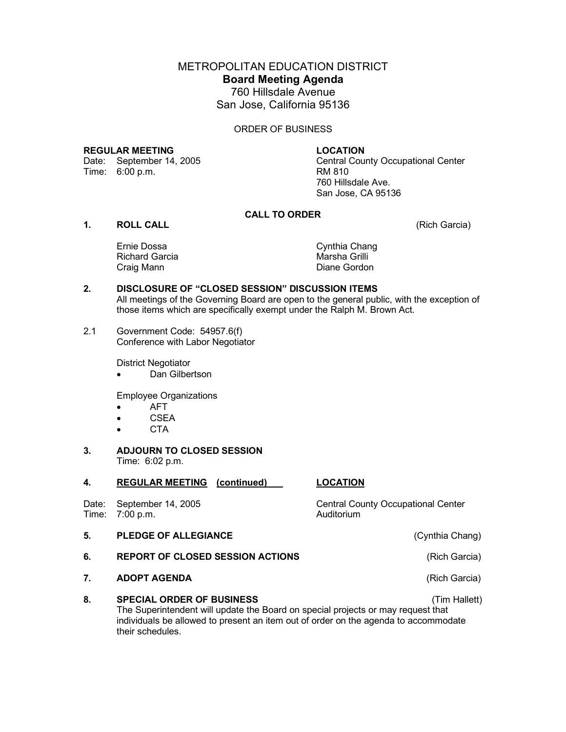METROPOLITAN EDUCATION DISTRICT **Board Meeting Agenda**

760 Hillsdale Avenue San Jose, California 95136

#### ORDER OF BUSINESS

**REGULAR MEETING LOCATION**<br>Date: September 14, 2005 **Central Cou** 

Central County Occupational Center Time: 6:00 p.m. RM 810 760 Hillsdale Ave. San Jose, CA 95136

# **CALL TO ORDER**

# **1. ROLL CALL** (Rich Garcia)

Ernie Dossa Cynthia Chang Richard Garcia **Marsha Grilli** Craig Mann **Diane Gordon** 

# **2. DISCLOSURE OF "CLOSED SESSION" DISCUSSION ITEMS**

All meetings of the Governing Board are open to the general public, with the exception of those items which are specifically exempt under the Ralph M. Brown Act.

2.1 Government Code: 54957.6(f) Conference with Labor Negotiator

District Negotiator

• Dan Gilbertson

Employee Organizations

- AFT
- CSEA
- CTA
- **3. ADJOURN TO CLOSED SESSION** Time: 6:02 p.m.

# **4. REGULAR MEETING (continued) LOCATION**

Time: 7:00 p.m. Auditorium

#### **5. PLEDGE OF ALLEGIANCE** (Cynthia Chang)

- **6. REPORT OF CLOSED SESSION ACTIONS** (Rich Garcia)
- **7. ADOPT AGENDA** (Rich Garcia)

### **8. SPECIAL ORDER OF BUSINESS** (Tim Hallett)

The Superintendent will update the Board on special projects or may request that individuals be allowed to present an item out of order on the agenda to accommodate their schedules.

Date: September 14, 2005 Central County Occupational Center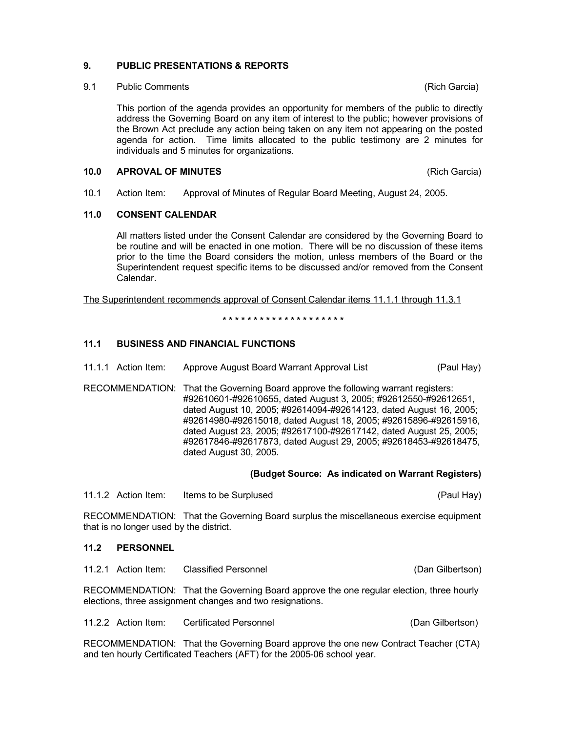# **9. PUBLIC PRESENTATIONS & REPORTS**

9.1 Public Comments (Rich Garcia)

This portion of the agenda provides an opportunity for members of the public to directly address the Governing Board on any item of interest to the public; however provisions of the Brown Act preclude any action being taken on any item not appearing on the posted agenda for action. Time limits allocated to the public testimony are 2 minutes for individuals and 5 minutes for organizations.

#### **10.0 APROVAL OF MINUTES** (Rich Garcia)

10.1 Action Item: Approval of Minutes of Regular Board Meeting, August 24, 2005.

# **11.0 CONSENT CALENDAR**

All matters listed under the Consent Calendar are considered by the Governing Board to be routine and will be enacted in one motion. There will be no discussion of these items prior to the time the Board considers the motion, unless members of the Board or the Superintendent request specific items to be discussed and/or removed from the Consent Calendar.

The Superintendent recommends approval of Consent Calendar items 11.1.1 through 11.3.1

**\* \* \* \* \* \* \* \* \* \* \* \* \* \* \* \* \* \* \* \***

# **11.1 BUSINESS AND FINANCIAL FUNCTIONS**

- 11.1.1 Action Item: Approve August Board Warrant Approval List (Paul Hay)
- RECOMMENDATION: That the Governing Board approve the following warrant registers: #92610601-#92610655, dated August 3, 2005; #92612550-#92612651, dated August 10, 2005; #92614094-#92614123, dated August 16, 2005; #92614980-#92615018, dated August 18, 2005; #92615896-#92615916, dated August 23, 2005; #92617100-#92617142, dated August 25, 2005; #92617846-#92617873, dated August 29, 2005; #92618453-#92618475, dated August 30, 2005.

### **(Budget Source: As indicated on Warrant Registers)**

11.1.2 Action Item: Items to be Surplused (Paul Hay)

RECOMMENDATION: That the Governing Board surplus the miscellaneous exercise equipment that is no longer used by the district.

### **11.2 PERSONNEL**

11.2.1 Action Item: Classified Personnel (Dan Gilbertson)

RECOMMENDATION: That the Governing Board approve the one regular election, three hourly elections, three assignment changes and two resignations.

11.2.2 Action Item: Certificated Personnel (Dan Gilbertson)

RECOMMENDATION: That the Governing Board approve the one new Contract Teacher (CTA) and ten hourly Certificated Teachers (AFT) for the 2005-06 school year.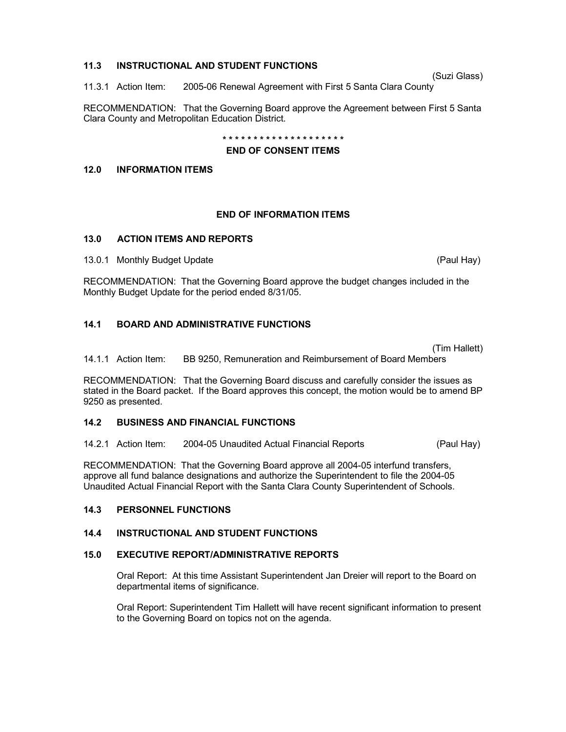### **11.3 INSTRUCTIONAL AND STUDENT FUNCTIONS**

(Suzi Glass)

11.3.1 Action Item: 2005-06 Renewal Agreement with First 5 Santa Clara County

RECOMMENDATION: That the Governing Board approve the Agreement between First 5 Santa Clara County and Metropolitan Education District.

**\* \* \* \* \* \* \* \* \* \* \* \* \* \* \* \* \* \* \* \***

#### **END OF CONSENT ITEMS**

### **12.0 INFORMATION ITEMS**

#### **END OF INFORMATION ITEMS**

### **13.0 ACTION ITEMS AND REPORTS**

13.0.1 Monthly Budget Update (Paul Hay) and the Cause of the Cause of the Cause of the Cause of the Cause of the Cause of the Cause of the Cause of the Cause of the Cause of the Cause of the Cause of the Cause of the Cause

RECOMMENDATION: That the Governing Board approve the budget changes included in the Monthly Budget Update for the period ended 8/31/05.

# **14.1 BOARD AND ADMINISTRATIVE FUNCTIONS**

(Tim Hallett)

14.1.1 Action Item: BB 9250, Remuneration and Reimbursement of Board Members

RECOMMENDATION: That the Governing Board discuss and carefully consider the issues as stated in the Board packet. If the Board approves this concept, the motion would be to amend BP 9250 as presented.

### **14.2 BUSINESS AND FINANCIAL FUNCTIONS**

14.2.1 Action Item: 2004-05 Unaudited Actual Financial Reports (Paul Hay)

RECOMMENDATION: That the Governing Board approve all 2004-05 interfund transfers, approve all fund balance designations and authorize the Superintendent to file the 2004-05 Unaudited Actual Financial Report with the Santa Clara County Superintendent of Schools.

### **14.3 PERSONNEL FUNCTIONS**

### **14.4 INSTRUCTIONAL AND STUDENT FUNCTIONS**

### **15.0 EXECUTIVE REPORT/ADMINISTRATIVE REPORTS**

Oral Report: At this time Assistant Superintendent Jan Dreier will report to the Board on departmental items of significance.

Oral Report: Superintendent Tim Hallett will have recent significant information to present to the Governing Board on topics not on the agenda.